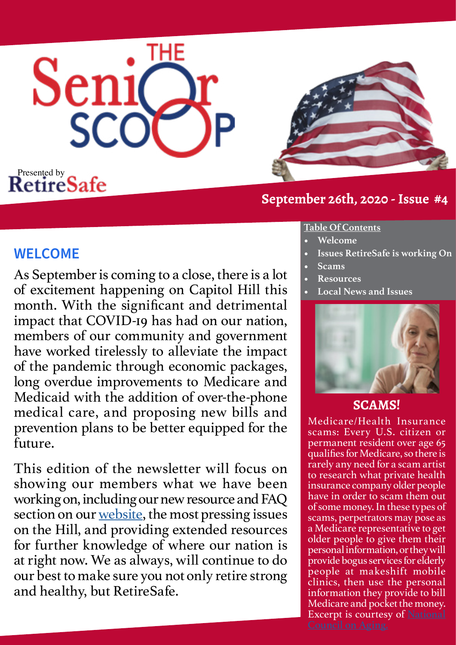



# **September 26th, 2020 - Issue #4**

# **WELCOME**

As September is coming to a close, there is a lot of excitement happening on Capitol Hill this month. With the significant and detrimental impact that COVID-19 has had on our nation, members of our community and government have worked tirelessly to alleviate the impact of the pandemic through economic packages, long overdue improvements to Medicare and Medicaid with the addition of over-the-phone medical care, and proposing new bills and prevention plans to be better equipped for the future.

This edition of the newsletter will focus on showing our members what we have been working on, including our new resource and FAQ section on our [website,](http://www.retiresafe.org) the most pressing issues on the Hill, and providing extended resources for further knowledge of where our nation is at right now. We as always, will continue to do our best to make sure you not only retire strong and healthy, but RetireSafe.

### **Table Of Contents**

- **• Welcome**
- **• Issues RetireSafe is working On**
- **• Scams**
- **• Resources**
- **• Local News and Issues**



# **SCAMS!**

Medicare/Health Insurance scams: Every U.S. citizen or permanent resident over age 65 qualifies for Medicare, so there is rarely any need for a scam artist to research what private health insurance company older people have in order to scam them out of some money. In these types of scams, perpetrators may pose as a Medicare representative to get older people to give them their personal information, or they will provide bogus services for elderly people at makeshift mobile clinics, then use the personal information they provide to bill Medicare and pocket the money. Excerpt is courtesy of [National](https://www.ncoa.org/economic-security/money-management/scams-security/top-10-scams-targeting-seniors/)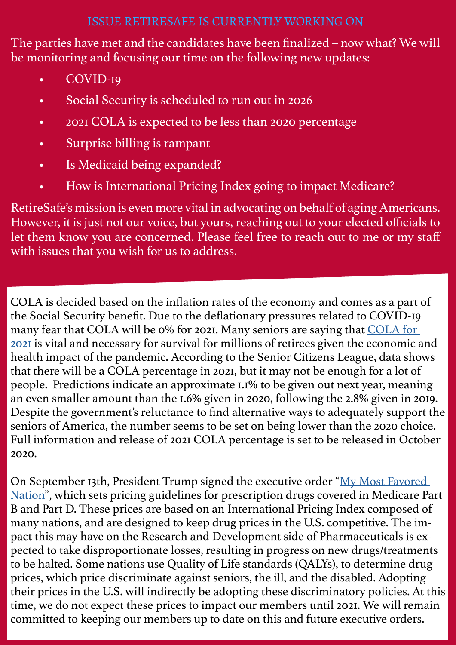# ISSUE RETIRESAFE IS CURRENTLY WORKING ON

The parties have met and the candidates have been finalized – now what? We will be monitoring and focusing our time on the following new updates:

- COVID-19
- Social Security is scheduled to run out in 2026
- 2021 COLA is expected to be less than 2020 percentage
- Surprise billing is rampant
- Is Medicaid being expanded?
- How is International Pricing Index going to impact Medicare?

RetireSafe's mission is even more vital in advocating on behalf of aging Americans. However, it is just not our voice, but yours, reaching out to your elected officials to let them know you are concerned. Please feel free to reach out to me or my staff with issues that you wish for us to address.

COLA is decided based on the inflation rates of the economy and comes as a part of the Social Security benefit. Due to the deflationary pressures related to COVID-19 many fear that COLA will be 0% for 2021. Many seniors are saying that [COLA for](https://www.cnbc.com/2020/04/22/social-security-cola-2021-estimate-points-to-a-smaller-increase.html)  [2021](https://www.cnbc.com/2020/04/22/social-security-cola-2021-estimate-points-to-a-smaller-increase.html) is vital and necessary for survival for millions of retirees given the economic and health impact of the pandemic. According to the Senior Citizens League, data shows that there will be a COLA percentage in 2021, but it may not be enough for a lot of people. Predictions indicate an approximate 1.1% to be given out next year, meaning an even smaller amount than the 1.6% given in 2020, following the 2.8% given in 2019. Despite the government's reluctance to find alternative ways to adequately support the seniors of America, the number seems to be set on being lower than the 2020 choice. Full information and release of 2021 COLA percentage is set to be released in October 2020.

On September 13th, President Trump signed the executive order "My Most Favored [Nation](https://www.statnews.com/2020/09/13/drug-pricing-executive-orders/)", which sets pricing guidelines for prescription drugs covered in Medicare Part B and Part D. These prices are based on an International Pricing Index composed of many nations, and are designed to keep drug prices in the U.S. competitive. The impact this may have on the Research and Development side of Pharmaceuticals is expected to take disproportionate losses, resulting in progress on new drugs/treatments to be halted. Some nations use Quality of Life standards (QALYs), to determine drug prices, which price discriminate against seniors, the ill, and the disabled. Adopting their prices in the U.S. will indirectly be adopting these discriminatory policies. At this time, we do not expect these prices to impact our members until 2021. We will remain committed to keeping our members up to date on this and future executive orders.